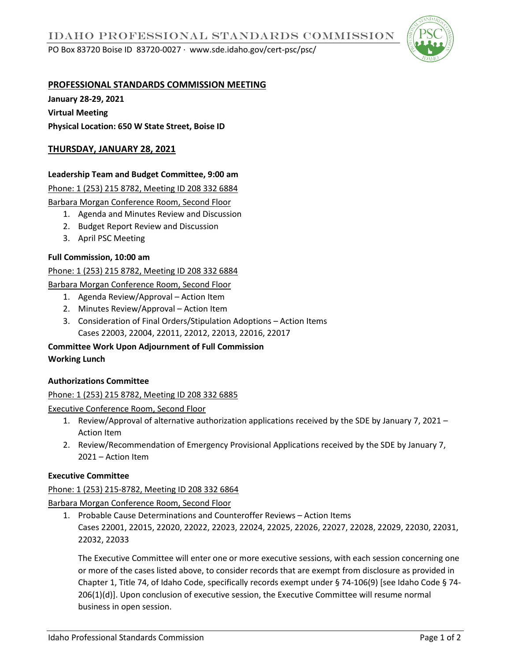PO Box 83720 Boise ID 83720-0027 ∙ www.sde.idaho.gov/cert-psc/psc/



# **PROFESSIONAL STANDARDS COMMISSION MEETING**

**January 28-29, 2021 Virtual Meeting Physical Location: 650 W State Street, Boise ID** 

# **THURSDAY, JANUARY 28, 2021**

# **Leadership Team and Budget Committee, 9:00 am**

Phone: 1 (253) 215 8782, Meeting ID 208 332 6884

Barbara Morgan Conference Room, Second Floor

- 1. Agenda and Minutes Review and Discussion
- 2. Budget Report Review and Discussion
- 3. April PSC Meeting

## **Full Commission, 10:00 am**

Phone: 1 (253) 215 8782, Meeting ID 208 332 6884

Barbara Morgan Conference Room, Second Floor

- 1. Agenda Review/Approval Action Item
- 2. Minutes Review/Approval Action Item
- 3. Consideration of Final Orders/Stipulation Adoptions Action Items Cases 22003, 22004, 22011, 22012, 22013, 22016, 22017

**Committee Work Upon Adjournment of Full Commission Working Lunch**

## **Authorizations Committee**

Phone: 1 (253) 215 8782, Meeting ID 208 332 6885

Executive Conference Room, Second Floor

- 1. Review/Approval of alternative authorization applications received by the SDE by January 7, 2021 Action Item
- 2. Review/Recommendation of Emergency Provisional Applications received by the SDE by January 7, 2021 – Action Item

## **Executive Committee**

## Phone: 1 (253) 215-8782, Meeting ID 208 332 6864

Barbara Morgan Conference Room, Second Floor

1. Probable Cause Determinations and Counteroffer Reviews – Action Items Cases 22001, 22015, 22020, 22022, 22023, 22024, 22025, 22026, 22027, 22028, 22029, 22030, 22031, 22032, 22033

The Executive Committee will enter one or more executive sessions, with each session concerning one or more of the cases listed above, to consider records that are exempt from disclosure as provided in Chapter 1, Title 74, of Idaho Code, specifically records exempt under § 74-106(9) [see Idaho Code § 74- 206(1)(d)]. Upon conclusion of executive session, the Executive Committee will resume normal business in open session.